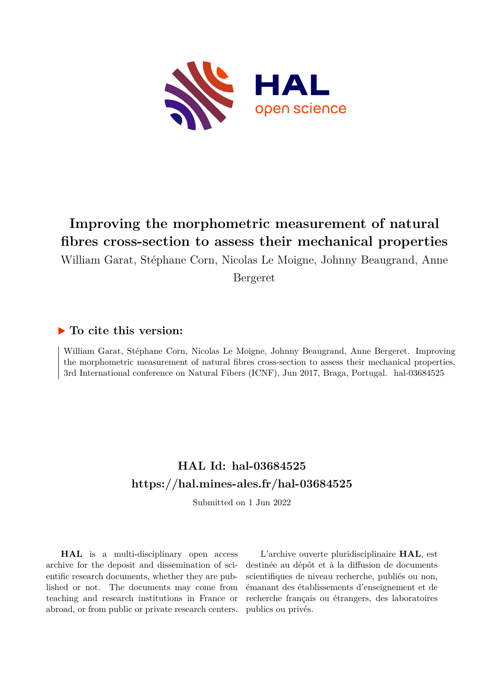

# **Improving the morphometric measurement of natural fibres cross-section to assess their mechanical properties**

William Garat, Stéphane Corn, Nicolas Le Moigne, Johnny Beaugrand, Anne

Bergeret

## **To cite this version:**

William Garat, Stéphane Corn, Nicolas Le Moigne, Johnny Beaugrand, Anne Bergeret. Improving the morphometric measurement of natural fibres cross-section to assess their mechanical properties. 3rd International conference on Natural Fibers (ICNF), Jun 2017, Braga, Portugal. hal-03684525

## **HAL Id: hal-03684525 <https://hal.mines-ales.fr/hal-03684525>**

Submitted on 1 Jun 2022

**HAL** is a multi-disciplinary open access archive for the deposit and dissemination of scientific research documents, whether they are published or not. The documents may come from teaching and research institutions in France or abroad, or from public or private research centers.

L'archive ouverte pluridisciplinaire **HAL**, est destinée au dépôt et à la diffusion de documents scientifiques de niveau recherche, publiés ou non, émanant des établissements d'enseignement et de recherche français ou étrangers, des laboratoires publics ou privés.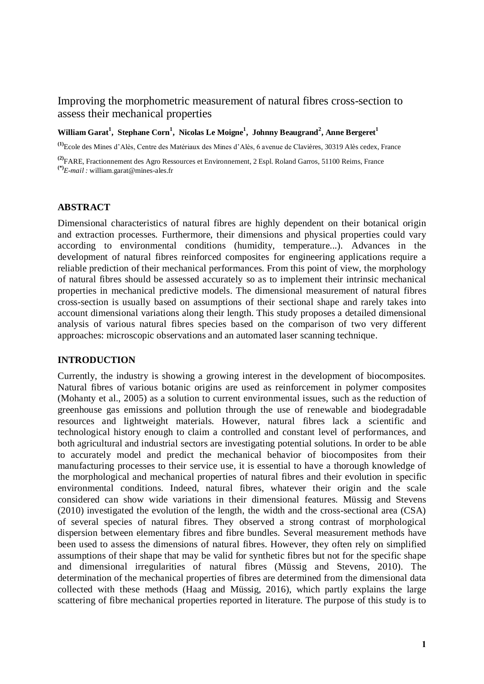### Improving the morphometric measurement of natural fibres cross-section to assess their mechanical properties

#### **William Garat<sup>1</sup> , Stephane Corn<sup>1</sup> , Nicolas Le Moigne<sup>1</sup> , Johnny Beaugrand<sup>2</sup> , Anne Bergeret<sup>1</sup>**

**(1)**Ecole des Mines d'Alès, Centre des Matériaux des Mines d'Alès, 6 avenue de Clavières, 30319 Alès cedex, France

**(2)**FARE, Fractionnement des Agro Ressources et Environnement, 2 Espl. Roland Garros, 51100 Reims, France **(\*)***E-mail :* [william.garat@mines-ales.fr](mailto:william.garat@mines-ales.fr)

#### **ABSTRACT**

Dimensional characteristics of natural fibres are highly dependent on their botanical origin and extraction processes. Furthermore, their dimensions and physical properties could vary according to environmental conditions (humidity, temperature...). Advances in the development of natural fibres reinforced composites for engineering applications require a reliable prediction of their mechanical performances. From this point of view, the morphology of natural fibres should be assessed accurately so as to implement their intrinsic mechanical properties in mechanical predictive models. The dimensional measurement of natural fibres cross-section is usually based on assumptions of their sectional shape and rarely takes into account dimensional variations along their length. This study proposes a detailed dimensional analysis of various natural fibres species based on the comparison of two very different approaches: microscopic observations and an automated laser scanning technique.

#### **INTRODUCTION**

Currently, the industry is showing a growing interest in the development of biocomposites. Natural fibres of various botanic origins are used as reinforcement in polymer composites (Mohanty et al., 2005) as a solution to current environmental issues, such as the reduction of greenhouse gas emissions and pollution through the use of renewable and biodegradable resources and lightweight materials. However, natural fibres lack a scientific and technological history enough to claim a controlled and constant level of performances, and both agricultural and industrial sectors are investigating potential solutions. In order to be able to accurately model and predict the mechanical behavior of biocomposites from their manufacturing processes to their service use, it is essential to have a thorough knowledge of the morphological and mechanical properties of natural fibres and their evolution in specific environmental conditions. Indeed, natural fibres, whatever their origin and the scale considered can show wide variations in their dimensional features. Müssig and Stevens (2010) investigated the evolution of the length, the width and the cross-sectional area (CSA) of several species of natural fibres. They observed a strong contrast of morphological dispersion between elementary fibres and fibre bundles. Several measurement methods have been used to assess the dimensions of natural fibres. However, they often rely on simplified assumptions of their shape that may be valid for synthetic fibres but not for the specific shape and dimensional irregularities of natural fibres (Müssig and Stevens, 2010). The determination of the mechanical properties of fibres are determined from the dimensional data collected with these methods (Haag and Müssig, 2016), which partly explains the large scattering of fibre mechanical properties reported in literature. The purpose of this study is to